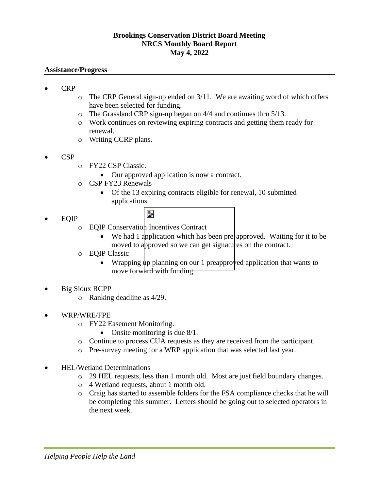## **Brookings Conservation District Board Meeting NRCS Monthly Board Report May 4, 2022**

## **Assistance/Progress**

- CRP
- o The CRP General sign-up ended on 3/11. We are awaiting word of which offers have been selected for funding.
- o The Grassland CRP sign-up began on 4/4 and continues thru 5/13.
- o Work continues on reviewing expiring contracts and getting them ready for renewal.
- o Writing CCRP plans.
- CSP
- o FY22 CSP Classic.
	- Our approved application is now a contract.
- o CSP FY23 Renewals
	- Of the 13 expiring contracts eligible for renewal, 10 submitted applications.
- EQIP
- $\overline{\phantom{a}}$
- o EQIP Conservation Incentives Contract
	- We had 1 application which has been pre-approved. Waiting for it to be moved to approved so we can get signatures on the contract.
- o EQIP Classic
	- Wrapping up planning on our 1 preapproved application that wants to move forward with funding.
- Big Sioux RCPP
	- o Ranking deadline as 4/29.
- WRP/WRE/FPE
	- o FY22 Easement Monitoring.
		- Onsite monitoring is due 8/1.
	- o Continue to process CUA requests as they are received from the participant.
	- o Pre-survey meeting for a WRP application that was selected last year.
- HEL/Wetland Determinations
	- o 29 HEL requests, less than 1 month old. Most are just field boundary changes.
	- o 4 Wetland requests, about 1 month old.
	- o Craig has started to assemble folders for the FSA compliance checks that he will be completing this summer. Letters should be going out to selected operators in the next week.